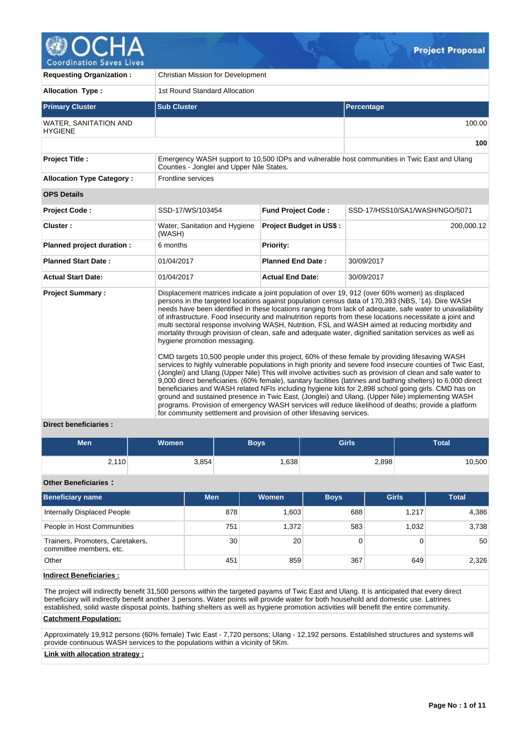

| <b>Requesting Organization:</b>         | <b>Christian Mission for Development</b>                                                             |                                |                                                                                                                                                                                                                                                                                                                                                                                                                                                                                                                                                                                                                                                                                                                                                                                                                                                                                                                                                                                                                                                                                                                                                                                                                                                                                                                                                                                                              |  |  |  |  |  |
|-----------------------------------------|------------------------------------------------------------------------------------------------------|--------------------------------|--------------------------------------------------------------------------------------------------------------------------------------------------------------------------------------------------------------------------------------------------------------------------------------------------------------------------------------------------------------------------------------------------------------------------------------------------------------------------------------------------------------------------------------------------------------------------------------------------------------------------------------------------------------------------------------------------------------------------------------------------------------------------------------------------------------------------------------------------------------------------------------------------------------------------------------------------------------------------------------------------------------------------------------------------------------------------------------------------------------------------------------------------------------------------------------------------------------------------------------------------------------------------------------------------------------------------------------------------------------------------------------------------------------|--|--|--|--|--|
| <b>Allocation Type:</b>                 | 1st Round Standard Allocation                                                                        |                                |                                                                                                                                                                                                                                                                                                                                                                                                                                                                                                                                                                                                                                                                                                                                                                                                                                                                                                                                                                                                                                                                                                                                                                                                                                                                                                                                                                                                              |  |  |  |  |  |
| <b>Primary Cluster</b>                  | <b>Sub Cluster</b>                                                                                   |                                | Percentage                                                                                                                                                                                                                                                                                                                                                                                                                                                                                                                                                                                                                                                                                                                                                                                                                                                                                                                                                                                                                                                                                                                                                                                                                                                                                                                                                                                                   |  |  |  |  |  |
| WATER, SANITATION AND<br><b>HYGIENE</b> |                                                                                                      |                                | 100.00                                                                                                                                                                                                                                                                                                                                                                                                                                                                                                                                                                                                                                                                                                                                                                                                                                                                                                                                                                                                                                                                                                                                                                                                                                                                                                                                                                                                       |  |  |  |  |  |
|                                         |                                                                                                      |                                | 100                                                                                                                                                                                                                                                                                                                                                                                                                                                                                                                                                                                                                                                                                                                                                                                                                                                                                                                                                                                                                                                                                                                                                                                                                                                                                                                                                                                                          |  |  |  |  |  |
| <b>Project Title:</b>                   | Counties - Jonglei and Upper Nile States.                                                            |                                | Emergency WASH support to 10,500 IDPs and vulnerable host communities in Twic East and Ulang                                                                                                                                                                                                                                                                                                                                                                                                                                                                                                                                                                                                                                                                                                                                                                                                                                                                                                                                                                                                                                                                                                                                                                                                                                                                                                                 |  |  |  |  |  |
| <b>Allocation Type Category:</b>        | Frontline services                                                                                   |                                |                                                                                                                                                                                                                                                                                                                                                                                                                                                                                                                                                                                                                                                                                                                                                                                                                                                                                                                                                                                                                                                                                                                                                                                                                                                                                                                                                                                                              |  |  |  |  |  |
| <b>OPS Details</b>                      |                                                                                                      |                                |                                                                                                                                                                                                                                                                                                                                                                                                                                                                                                                                                                                                                                                                                                                                                                                                                                                                                                                                                                                                                                                                                                                                                                                                                                                                                                                                                                                                              |  |  |  |  |  |
| Project Code:                           | SSD-17/WS/103454                                                                                     | <b>Fund Project Code:</b>      | SSD-17/HSS10/SA1/WASH/NGO/5071                                                                                                                                                                                                                                                                                                                                                                                                                                                                                                                                                                                                                                                                                                                                                                                                                                                                                                                                                                                                                                                                                                                                                                                                                                                                                                                                                                               |  |  |  |  |  |
| Cluster:                                | Water, Sanitation and Hygiene<br>(WASH)                                                              | <b>Project Budget in US\$:</b> | 200,000.12                                                                                                                                                                                                                                                                                                                                                                                                                                                                                                                                                                                                                                                                                                                                                                                                                                                                                                                                                                                                                                                                                                                                                                                                                                                                                                                                                                                                   |  |  |  |  |  |
| Planned project duration :              | 6 months                                                                                             | <b>Priority:</b>               |                                                                                                                                                                                                                                                                                                                                                                                                                                                                                                                                                                                                                                                                                                                                                                                                                                                                                                                                                                                                                                                                                                                                                                                                                                                                                                                                                                                                              |  |  |  |  |  |
| <b>Planned Start Date:</b>              | 01/04/2017                                                                                           | <b>Planned End Date:</b>       | 30/09/2017                                                                                                                                                                                                                                                                                                                                                                                                                                                                                                                                                                                                                                                                                                                                                                                                                                                                                                                                                                                                                                                                                                                                                                                                                                                                                                                                                                                                   |  |  |  |  |  |
| <b>Actual Start Date:</b>               | 01/04/2017                                                                                           | <b>Actual End Date:</b>        | 30/09/2017                                                                                                                                                                                                                                                                                                                                                                                                                                                                                                                                                                                                                                                                                                                                                                                                                                                                                                                                                                                                                                                                                                                                                                                                                                                                                                                                                                                                   |  |  |  |  |  |
| <b>Project Summary:</b>                 | hygiene promotion messaging.<br>for community settlement and provision of other lifesaving services. |                                | Displacement matrices indicate a joint population of over 19, 912 (over 60% women) as displaced<br>persons in the targeted locations against population census data of 170,393 (NBS, '14). Dire WASH<br>needs have been identified in these locations ranging from lack of adequate, safe water to unavailability<br>of infrastructure. Food Insecurity and malnutrition reports from these locations necessitate a joint and<br>multi sectoral response involving WASH, Nutrition, FSL and WASH aimed at reducing morbidity and<br>mortality through provision of clean, safe and adequate water, dignified sanitation services as well as<br>CMD targets 10,500 people under this project, 60% of these female by providing lifesaving WASH<br>services to highly vulnerable populations in high priority and severe food insecure counties of Twic East,<br>(Jonglei) and Ulang. (Upper Nile) This will involve activities such as provision of clean and safe water to<br>9,000 direct beneficiaries. (60% female), sanitary facilities (latrines and bathing shelters) to 6,000 direct<br>beneficiaries and WASH related NFIs including hygiene kits for 2,898 school going girls. CMD has on<br>ground and sustained presence in Twic East, (Jonglei) and Ulang. (Upper Nile) implementing WASH<br>programs. Provision of emergency WASH services will reduce likelihood of deaths; provide a platform |  |  |  |  |  |

# **Direct beneficiaries :**

| <b>Men</b>                  | Women | <b>Boys</b> | <b>Girls</b> | <b>Total</b> |
|-----------------------------|-------|-------------|--------------|--------------|
| 2,110                       | 3,854 | .638        | 2,898        | 10,500       |
| <b>Other Beneficiaries:</b> |       |             |              |              |

| <b>Beneficiary name</b>                                     | <b>Men</b> | <b>Women</b> | <b>Boys</b> | <b>Total</b> |       |
|-------------------------------------------------------------|------------|--------------|-------------|--------------|-------|
| Internally Displaced People                                 | 878        | 1,603        | 688         | 1.217        | 4,386 |
| People in Host Communities                                  | 751        | 1.372        | 583         | 1.032        | 3,738 |
| Trainers, Promoters, Caretakers,<br>committee members, etc. | 30         | 20           | 0           |              | 50    |
| Other                                                       | 451        | 859          | 367         | 649          | 2,326 |

# **Indirect Beneficiaries :**

The project will indirectly benefit 31,500 persons within the targeted payams of Twic East and Ulang. It is anticipated that every direct beneficiary will indirectly benefit another 3 persons. Water points will provide water for both household and domestic use. Latrines established, solid waste disposal points, bathing shelters as well as hygiene promotion activities will benefit the entire community.

### **Catchment Population:**

Approximately 19,912 persons (60% female) Twic East - 7,720 persons; Ulang - 12,192 persons. Established structures and systems will provide continuous WASH services to the populations within a vicinity of 5Km.

# **Link with allocation strategy :**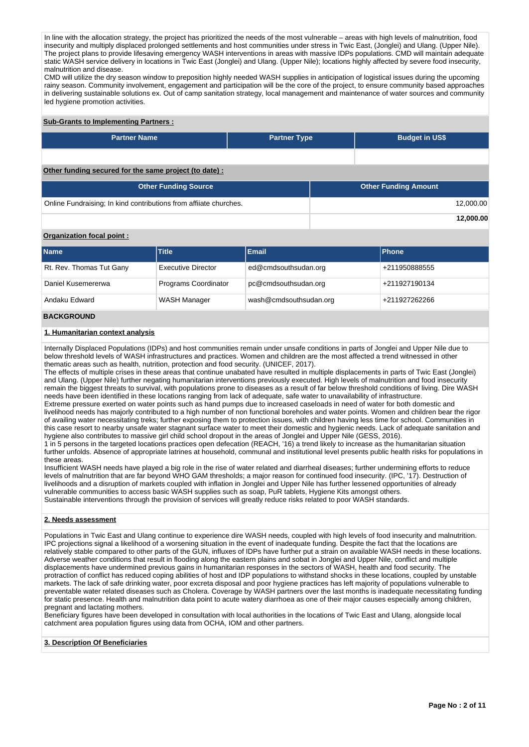In line with the allocation strategy, the project has prioritized the needs of the most vulnerable – areas with high levels of malnutrition, food insecurity and multiply displaced prolonged settlements and host communities under stress in Twic East, (Jonglei) and Ulang. (Upper Nile). The project plans to provide lifesaving emergency WASH interventions in areas with massive IDPs populations. CMD will maintain adequate static WASH service delivery in locations in Twic East (Jonglei) and Ulang. (Upper Nile); locations highly affected by severe food insecurity, malnutrition and disease.

CMD will utilize the dry season window to preposition highly needed WASH supplies in anticipation of logistical issues during the upcoming rainy season. Community involvement, engagement and participation will be the core of the project, to ensure community based approaches in delivering sustainable solutions ex. Out of camp sanitation strategy, local management and maintenance of water sources and community led hygiene promotion activities.

# **Sub-Grants to Implementing Partners :**

| <b>Partner Name</b>                                               | <b>Partner Type</b> | <b>Budget in US\$</b>       |
|-------------------------------------------------------------------|---------------------|-----------------------------|
|                                                                   |                     |                             |
| Other funding secured for the same project (to date) :            |                     |                             |
| <b>Other Funding Source</b>                                       |                     | <b>Other Funding Amount</b> |
| Online Fundraising; In kind contributions from affiiate churches. |                     | 12,000.00                   |

**12,000.00**

# **Organization focal point :**

| <b>Name</b>              | Title                     | <b>Email</b>           | <b>Phone</b>  |
|--------------------------|---------------------------|------------------------|---------------|
| Rt. Rev. Thomas Tut Gany | <b>Executive Director</b> | ed@cmdsouthsudan.org   | +211950888555 |
| Daniel Kusemererwa       | Programs Coordinator      | pc@cmdsouthsudan.org   | +211927190134 |
| Andaku Edward            | WASH Manager              | wash@cmdsouthsudan.org | +211927262266 |

# **BACKGROUND**

# **1. Humanitarian context analysis**

Internally Displaced Populations (IDPs) and host communities remain under unsafe conditions in parts of Jonglei and Upper Nile due to below threshold levels of WASH infrastructures and practices. Women and children are the most affected a trend witnessed in other thematic areas such as health, nutrition, protection and food security. (UNICEF, 2017).

The effects of multiple crises in these areas that continue unabated have resulted in multiple displacements in parts of Twic East (Jonglei) and Ulang. (Upper Nile) further negating humanitarian interventions previously executed. High levels of malnutrition and food insecurity remain the biggest threats to survival, with populations prone to diseases as a result of far below threshold conditions of living. Dire WASH needs have been identified in these locations ranging from lack of adequate, safe water to unavailability of infrastructure. Extreme pressure exerted on water points such as hand pumps due to increased caseloads in need of water for both domestic and

livelihood needs has majorly contributed to a high number of non functional boreholes and water points. Women and children bear the rigor of availing water necessitating treks; further exposing them to protection issues, with children having less time for school. Communities in this case resort to nearby unsafe water stagnant surface water to meet their domestic and hygienic needs. Lack of adequate sanitation and hygiene also contributes to massive girl child school dropout in the areas of Jonglei and Upper Nile (GESS, 2016).

1 in 5 persons in the targeted locations practices open defecation (REACH, '16) a trend likely to increase as the humanitarian situation further unfolds. Absence of appropriate latrines at household, communal and institutional level presents public health risks for populations in these areas.

Insufficient WASH needs have played a big role in the rise of water related and diarrheal diseases; further undermining efforts to reduce levels of malnutrition that are far beyond WHO GAM thresholds; a major reason for continued food insecurity. (IPC, '17). Destruction of livelihoods and a disruption of markets coupled with inflation in Jonglei and Upper Nile has further lessened opportunities of already vulnerable communities to access basic WASH supplies such as soap, PuR tablets, Hygiene Kits amongst others. Sustainable interventions through the provision of services will greatly reduce risks related to poor WASH standards.

### **2. Needs assessment**

Populations in Twic East and Ulang continue to experience dire WASH needs, coupled with high levels of food insecurity and malnutrition. IPC projections signal a likelihood of a worsening situation in the event of inadequate funding. Despite the fact that the locations are relatively stable compared to other parts of the GUN, influxes of IDPs have further put a strain on available WASH needs in these locations. Adverse weather conditions that result in flooding along the eastern plains and sobat in Jonglei and Upper Nile, conflict and multiple displacements have undermined previous gains in humanitarian responses in the sectors of WASH, health and food security. The protraction of conflict has reduced coping abilities of host and IDP populations to withstand shocks in these locations, coupled by unstable markets. The lack of safe drinking water, poor excreta disposal and poor hygiene practices has left majority of populations vulnerable to preventable water related diseases such as Cholera. Coverage by WASH partners over the last months is inadequate necessitating funding for static presence. Health and malnutrition data point to acute watery diarrhoea as one of their major causes especially among children, pregnant and lactating mothers.

Beneficiary figures have been developed in consultation with local authorities in the locations of Twic East and Ulang, alongside local catchment area population figures using data from OCHA, IOM and other partners.

# **3. Description Of Beneficiaries**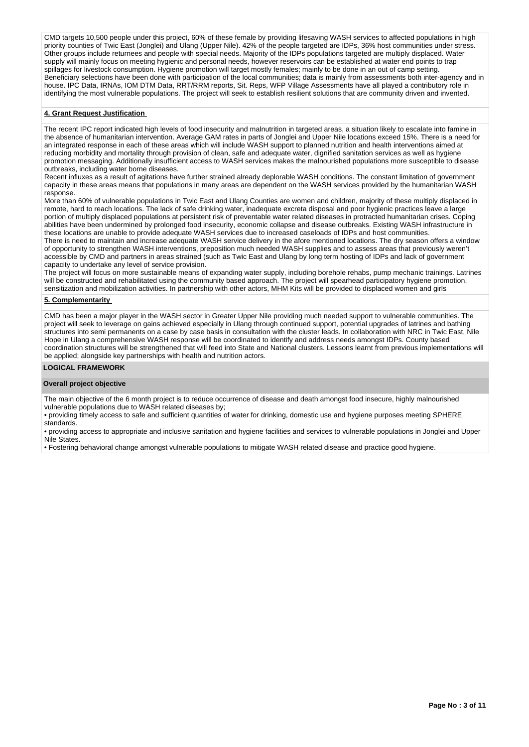CMD targets 10,500 people under this project, 60% of these female by providing lifesaving WASH services to affected populations in high priority counties of Twic East (Jonglei) and Ulang (Upper Nile). 42% of the people targeted are IDPs, 36% host communities under stress. Other groups include returnees and people with special needs. Majority of the IDPs populations targeted are multiply displaced. Water supply will mainly focus on meeting hygienic and personal needs, however reservoirs can be established at water end points to trap spillages for livestock consumption. Hygiene promotion will target mostly females; mainly to be done in an out of camp setting. Beneficiary selections have been done with participation of the local communities; data is mainly from assessments both inter-agency and in house. IPC Data, IRNAs, IOM DTM Data, RRT/RRM reports, Sit. Reps, WFP Village Assessments have all played a contributory role in identifying the most vulnerable populations. The project will seek to establish resilient solutions that are community driven and invented.

#### **4. Grant Request Justification**

The recent IPC report indicated high levels of food insecurity and malnutrition in targeted areas, a situation likely to escalate into famine in the absence of humanitarian intervention. Average GAM rates in parts of Jonglei and Upper Nile locations exceed 15%. There is a need for an integrated response in each of these areas which will include WASH support to planned nutrition and health interventions aimed at reducing morbidity and mortality through provision of clean, safe and adequate water, dignified sanitation services as well as hygiene promotion messaging. Additionally insufficient access to WASH services makes the malnourished populations more susceptible to disease outbreaks, including water borne diseases.

Recent influxes as a result of agitations have further strained already deplorable WASH conditions. The constant limitation of government capacity in these areas means that populations in many areas are dependent on the WASH services provided by the humanitarian WASH response.

More than 60% of vulnerable populations in Twic East and Ulang Counties are women and children, majority of these multiply displaced in remote, hard to reach locations. The lack of safe drinking water, inadequate excreta disposal and poor hygienic practices leave a large portion of multiply displaced populations at persistent risk of preventable water related diseases in protracted humanitarian crises. Coping abilities have been undermined by prolonged food insecurity, economic collapse and disease outbreaks. Existing WASH infrastructure in these locations are unable to provide adequate WASH services due to increased caseloads of IDPs and host communities.

There is need to maintain and increase adequate WASH service delivery in the afore mentioned locations. The dry season offers a window of opportunity to strengthen WASH interventions, preposition much needed WASH supplies and to assess areas that previously weren't accessible by CMD and partners in areas strained (such as Twic East and Ulang by long term hosting of IDPs and lack of government capacity to undertake any level of service provision.

The project will focus on more sustainable means of expanding water supply, including borehole rehabs, pump mechanic trainings. Latrines will be constructed and rehabilitated using the community based approach. The project will spearhead participatory hygiene promotion, sensitization and mobilization activities. In partnership with other actors, MHM Kits will be provided to displaced women and girls

### **5. Complementarity**

CMD has been a major player in the WASH sector in Greater Upper Nile providing much needed support to vulnerable communities. The project will seek to leverage on gains achieved especially in Ulang through continued support, potential upgrades of latrines and bathing structures into semi permanents on a case by case basis in consultation with the cluster leads. In collaboration with NRC in Twic East, Nile Hope in Ulang a comprehensive WASH response will be coordinated to identify and address needs amongst IDPs. County based coordination structures will be strengthened that will feed into State and National clusters. Lessons learnt from previous implementations will be applied; alongside key partnerships with health and nutrition actors.

#### **LOGICAL FRAMEWORK**

# **Overall project objective**

The main objective of the 6 month project is to reduce occurrence of disease and death amongst food insecure, highly malnourished vulnerable populations due to WASH related diseases by;

• providing timely access to safe and sufficient quantities of water for drinking, domestic use and hygiene purposes meeting SPHERE standards.

• providing access to appropriate and inclusive sanitation and hygiene facilities and services to vulnerable populations in Jonglei and Upper Nile States.

• Fostering behavioral change amongst vulnerable populations to mitigate WASH related disease and practice good hygiene.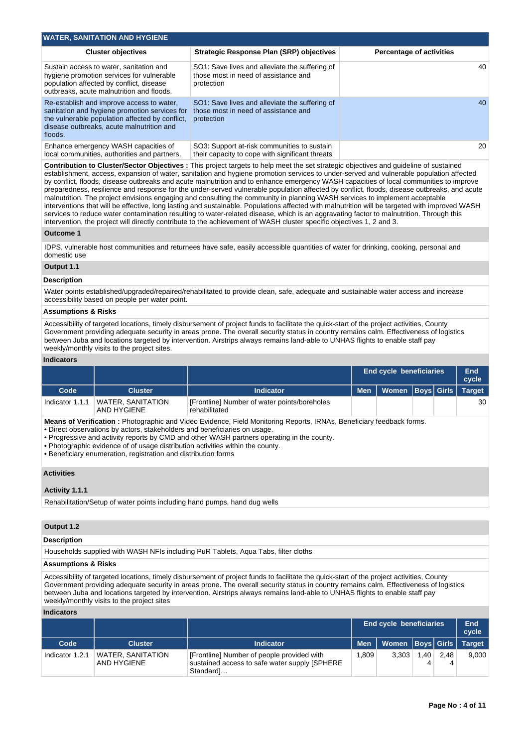| <b>WATER, SANITATION AND HYGIENE</b>                                                                                                                                                                  |                                                                                                      |                                 |  |  |  |  |  |  |  |  |
|-------------------------------------------------------------------------------------------------------------------------------------------------------------------------------------------------------|------------------------------------------------------------------------------------------------------|---------------------------------|--|--|--|--|--|--|--|--|
| <b>Cluster objectives</b>                                                                                                                                                                             | <b>Strategic Response Plan (SRP) objectives</b>                                                      | <b>Percentage of activities</b> |  |  |  |  |  |  |  |  |
| Sustain access to water, sanitation and<br>hygiene promotion services for vulnerable<br>population affected by conflict, disease<br>outbreaks, acute malnutrition and floods.                         | SO1: Save lives and alleviate the suffering of<br>those most in need of assistance and<br>protection | 40                              |  |  |  |  |  |  |  |  |
| Re-establish and improve access to water.<br>sanitation and hygiene promotion services for<br>the vulnerable population affected by conflict,<br>disease outbreaks, acute malnutrition and<br>floods. | SO1: Save lives and alleviate the suffering of<br>those most in need of assistance and<br>protection | 40                              |  |  |  |  |  |  |  |  |
| Enhance emergency WASH capacities of<br>local communities, authorities and partners.                                                                                                                  | SO3: Support at-risk communities to sustain<br>their capacity to cope with significant threats       | 20                              |  |  |  |  |  |  |  |  |

**Contribution to Cluster/Sector Objectives :** This project targets to help meet the set strategic objectives and guideline of sustained establishment, access, expansion of water, sanitation and hygiene promotion services to under-served and vulnerable population affected by conflict, floods, disease outbreaks and acute malnutrition and to enhance emergency WASH capacities of local communities to improve preparedness, resilience and response for the under-served vulnerable population affected by conflict, floods, disease outbreaks, and acute malnutrition. The project envisions engaging and consulting the community in planning WASH services to implement acceptable interventions that will be effective, long lasting and sustainable. Populations affected with malnutrition will be targeted with improved WASH services to reduce water contamination resulting to water-related disease, which is an aggravating factor to malnutrition. Through this intervention, the project will directly contribute to the achievement of WASH cluster specific objectives 1, 2 and 3.

#### **Outcome 1**

IDPS, vulnerable host communities and returnees have safe, easily accessible quantities of water for drinking, cooking, personal and domestic use

### **Output 1.1**

### **Description**

Water points established/upgraded/repaired/rehabilitated to provide clean, safe, adequate and sustainable water access and increase accessibility based on people per water point.

#### **Assumptions & Risks**

Accessibility of targeted locations, timely disbursement of project funds to facilitate the quick-start of the project activities, County Government providing adequate security in areas prone. The overall security status in country remains calm. Effectiveness of logistics between Juba and locations targeted by intervention. Airstrips always remains land-able to UNHAS flights to enable staff pay weekly/monthly visits to the project sites.

# **Indicators**

|                 |                                  |                                                               |            | <b>End cycle beneficiaries</b> |  |  |    |  |
|-----------------|----------------------------------|---------------------------------------------------------------|------------|--------------------------------|--|--|----|--|
| Code            | <b>Cluster</b>                   | Indicator                                                     | <b>Men</b> | Women Boys Girls   Target      |  |  |    |  |
| Indicator 1.1.1 | WATER, SANITATION<br>AND HYGIENE | [Frontline] Number of water points/boreholes<br>rehabilitated |            |                                |  |  | 30 |  |

**Means of Verification :** Photographic and Video Evidence, Field Monitoring Reports, IRNAs, Beneficiary feedback forms.

• Direct observations by actors, stakeholders and beneficiaries on usage.

• Progressive and activity reports by CMD and other WASH partners operating in the county.

• Photographic evidence of of usage distribution activities within the county.

• Beneficiary enumeration, registration and distribution forms

# **Activities**

# **Activity 1.1.1**

Rehabilitation/Setup of water points including hand pumps, hand dug wells

### **Output 1.2**

#### **Description**

Households supplied with WASH NFIs including PuR Tablets, Aqua Tabs, filter cloths

#### **Assumptions & Risks**

Accessibility of targeted locations, timely disbursement of project funds to facilitate the quick-start of the project activities, County Government providing adequate security in areas prone. The overall security status in country remains calm. Effectiveness of logistics between Juba and locations targeted by intervention. Airstrips always remains land-able to UNHAS flights to enable staff pay weekly/monthly visits to the project sites

# **Indicators**

|                 |                                         |                                                                                                           |            | <b>End cycle beneficiaries</b> |      |      |       |  |
|-----------------|-----------------------------------------|-----------------------------------------------------------------------------------------------------------|------------|--------------------------------|------|------|-------|--|
| Code            | <b>Cluster</b>                          | <b>Indicator</b>                                                                                          | <b>Men</b> | Women   Boys   Girls   Target  |      |      |       |  |
| Indicator 1.2.1 | <b>WATER, SANITATION</b><br>AND HYGIENE | [Frontline] Number of people provided with<br>sustained access to safe water supply [SPHERE]<br>Standard] | .809       | 3.303                          | 1.40 | 2.48 | 9.000 |  |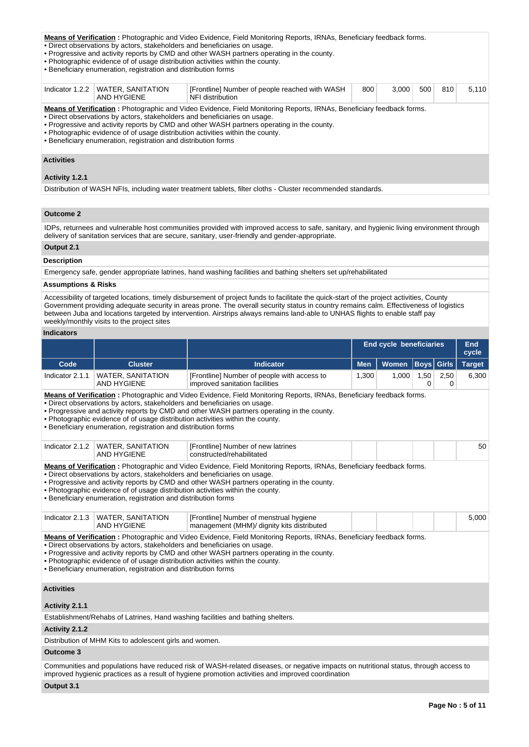#### **Means of Verification :** Photographic and Video Evidence, Field Monitoring Reports, IRNAs, Beneficiary feedback forms.

• Direct observations by actors, stakeholders and beneficiaries on usage.

- Progressive and activity reports by CMD and other WASH partners operating in the county.
- Photographic evidence of of usage distribution activities within the county.
- Beneficiary enumeration, registration and distribution forms

| Indicator 1.2.2   | <b>WATER, SANITATION</b><br>AND HYGIENE                                                                                                                                                                                                                                                                                                                                                                                                                    | [Frontline] Number of people reached with WASH<br>NFI distribution | 800 | 3.000 | 500 | 810 | 5.110 |  |  |  |
|-------------------|------------------------------------------------------------------------------------------------------------------------------------------------------------------------------------------------------------------------------------------------------------------------------------------------------------------------------------------------------------------------------------------------------------------------------------------------------------|--------------------------------------------------------------------|-----|-------|-----|-----|-------|--|--|--|
|                   | <b>Means of Verification:</b> Photographic and Video Evidence, Field Monitoring Reports, IRNAs, Beneficiary feedback forms.<br>. Direct observations by actors, stakeholders and beneficiaries on usage.<br>. Progressive and activity reports by CMD and other WASH partners operating in the county.<br>. Photographic evidence of of usage distribution activities within the county.<br>• Beneficiary enumeration, registration and distribution forms |                                                                    |     |       |     |     |       |  |  |  |
| <b>Activities</b> |                                                                                                                                                                                                                                                                                                                                                                                                                                                            |                                                                    |     |       |     |     |       |  |  |  |
| Activity 1.2.1    |                                                                                                                                                                                                                                                                                                                                                                                                                                                            |                                                                    |     |       |     |     |       |  |  |  |

Distribution of WASH NFIs, including water treatment tablets, filter cloths - Cluster recommended standards.

# **Outcome 2**

IDPs, returnees and vulnerable host communities provided with improved access to safe, sanitary, and hygienic living environment through delivery of sanitation services that are secure, sanitary, user-friendly and gender-appropriate.

# **Output 2.1**

### **Description**

Emergency safe, gender appropriate latrines, hand washing facilities and bathing shelters set up/rehabilitated

## **Assumptions & Risks**

Accessibility of targeted locations, timely disbursement of project funds to facilitate the quick-start of the project activities, County Government providing adequate security in areas prone. The overall security status in country remains calm. Effectiveness of logistics between Juba and locations targeted by intervention. Airstrips always remains land-able to UNHAS flights to enable staff pay weekly/monthly visits to the project sites

# **Indicators**

|                                                                                                                                                                                                                                                                                                                                                                                                                                                     |                                                                                                                                             |                                                                                                                                                                                                                                                                                                      | <b>End cycle beneficiaries</b> | <b>End</b><br>cycle |                   |           |               |  |
|-----------------------------------------------------------------------------------------------------------------------------------------------------------------------------------------------------------------------------------------------------------------------------------------------------------------------------------------------------------------------------------------------------------------------------------------------------|---------------------------------------------------------------------------------------------------------------------------------------------|------------------------------------------------------------------------------------------------------------------------------------------------------------------------------------------------------------------------------------------------------------------------------------------------------|--------------------------------|---------------------|-------------------|-----------|---------------|--|
| Code                                                                                                                                                                                                                                                                                                                                                                                                                                                | <b>Cluster</b>                                                                                                                              | <b>Indicator</b>                                                                                                                                                                                                                                                                                     | <b>Men</b>                     | <b>Women</b>        | <b>Boys</b> Girls |           | <b>Target</b> |  |
| Indicator 2.1.1                                                                                                                                                                                                                                                                                                                                                                                                                                     | <b>WATER, SANITATION</b><br><b>AND HYGIENE</b>                                                                                              | [Frontline] Number of people with access to<br>improved sanitation facilities                                                                                                                                                                                                                        | 1,300                          | 1,000               | 1,50<br>0         | 2,50<br>0 | 6,300         |  |
| Means of Verification: Photographic and Video Evidence, Field Monitoring Reports, IRNAs, Beneficiary feedback forms.<br>. Direct observations by actors, stakeholders and beneficiaries on usage.<br>. Progressive and activity reports by CMD and other WASH partners operating in the county.<br>. Photographic evidence of of usage distribution activities within the county.<br>· Beneficiary enumeration, registration and distribution forms |                                                                                                                                             |                                                                                                                                                                                                                                                                                                      |                                |                     |                   |           |               |  |
| Indicator 2.1.2                                                                                                                                                                                                                                                                                                                                                                                                                                     | <b>WATER, SANITATION</b><br><b>AND HYGIENE</b>                                                                                              | [Frontline] Number of new latrines<br>constructed/rehabilitated                                                                                                                                                                                                                                      |                                |                     |                   |           | 50            |  |
| Means of Verification: Photographic and Video Evidence, Field Monitoring Reports, IRNAs, Beneficiary feedback forms.<br>. Direct observations by actors, stakeholders and beneficiaries on usage.<br>. Progressive and activity reports by CMD and other WASH partners operating in the county.<br>. Photographic evidence of of usage distribution activities within the county.<br>• Beneficiary enumeration, registration and distribution forms |                                                                                                                                             |                                                                                                                                                                                                                                                                                                      |                                |                     |                   |           |               |  |
|                                                                                                                                                                                                                                                                                                                                                                                                                                                     | Indicator 2.1.3   WATER, SANITATION<br><b>AND HYGIENE</b>                                                                                   | [Frontline] Number of menstrual hygiene<br>management (MHM)/ dignity kits distributed                                                                                                                                                                                                                |                                |                     |                   |           | 5,000         |  |
|                                                                                                                                                                                                                                                                                                                                                                                                                                                     | . Direct observations by actors, stakeholders and beneficiaries on usage.<br>• Beneficiary enumeration, registration and distribution forms | Means of Verification: Photographic and Video Evidence, Field Monitoring Reports, IRNAs, Beneficiary feedback forms.<br>• Progressive and activity reports by CMD and other WASH partners operating in the county.<br>. Photographic evidence of of usage distribution activities within the county. |                                |                     |                   |           |               |  |
| <b>Activities</b>                                                                                                                                                                                                                                                                                                                                                                                                                                   |                                                                                                                                             |                                                                                                                                                                                                                                                                                                      |                                |                     |                   |           |               |  |
| Activity 2.1.1                                                                                                                                                                                                                                                                                                                                                                                                                                      |                                                                                                                                             |                                                                                                                                                                                                                                                                                                      |                                |                     |                   |           |               |  |
|                                                                                                                                                                                                                                                                                                                                                                                                                                                     |                                                                                                                                             | Establishment/Rehabs of Latrines, Hand washing facilities and bathing shelters.                                                                                                                                                                                                                      |                                |                     |                   |           |               |  |
| Activity 2.1.2                                                                                                                                                                                                                                                                                                                                                                                                                                      |                                                                                                                                             |                                                                                                                                                                                                                                                                                                      |                                |                     |                   |           |               |  |
|                                                                                                                                                                                                                                                                                                                                                                                                                                                     | Distribution of MHM Kits to adolescent girls and women.                                                                                     |                                                                                                                                                                                                                                                                                                      |                                |                     |                   |           |               |  |
| <b>Outcome 3</b>                                                                                                                                                                                                                                                                                                                                                                                                                                    |                                                                                                                                             |                                                                                                                                                                                                                                                                                                      |                                |                     |                   |           |               |  |
|                                                                                                                                                                                                                                                                                                                                                                                                                                                     |                                                                                                                                             | Communities and populations have reduced risk of WASH-related diseases, or negative impacts on nutritional status, through access to<br>improved hygienic practices as a result of hygiene promotion activities and improved coordination                                                            |                                |                     |                   |           |               |  |
| 0.44424                                                                                                                                                                                                                                                                                                                                                                                                                                             |                                                                                                                                             |                                                                                                                                                                                                                                                                                                      |                                |                     |                   |           |               |  |

#### **Output 3.1**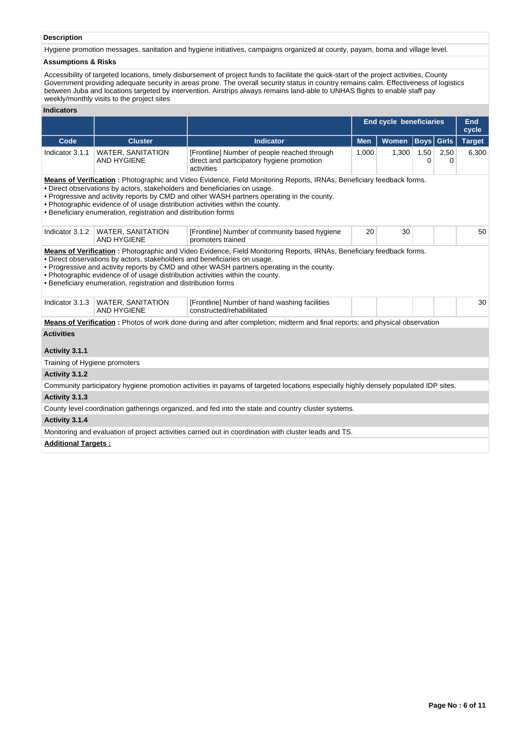# **Description**

Hygiene promotion messages, sanitation and hygiene initiatives, campaigns organized at county, payam, boma and village level.

# **Assumptions & Risks**

Accessibility of targeted locations, timely disbursement of project funds to facilitate the quick-start of the project activities, County Government providing adequate security in areas prone. The overall security status in country remains calm. Effectiveness of logistics between Juba and locations targeted by intervention. Airstrips always remains land-able to UNHAS flights to enable staff pay weekly/monthly visits to the project sites

# **Indicators**

|                                                                                                                                                                                                                                                                                                                                                                                                                                                     |                                                           |                                                                                                                                     | <b>End cycle beneficiaries</b> | <b>End</b><br>cycle |                   |           |               |  |    |
|-----------------------------------------------------------------------------------------------------------------------------------------------------------------------------------------------------------------------------------------------------------------------------------------------------------------------------------------------------------------------------------------------------------------------------------------------------|-----------------------------------------------------------|-------------------------------------------------------------------------------------------------------------------------------------|--------------------------------|---------------------|-------------------|-----------|---------------|--|----|
| Code                                                                                                                                                                                                                                                                                                                                                                                                                                                | <b>Cluster</b>                                            | <b>Indicator</b>                                                                                                                    | <b>Men</b>                     | Women               | <b>Boys</b> Girls |           | <b>Target</b> |  |    |
| Indicator 3.1.1                                                                                                                                                                                                                                                                                                                                                                                                                                     | <b>WATER, SANITATION</b><br>AND HYGIENE                   | [Frontline] Number of people reached through<br>direct and participatory hygiene promotion<br>activities                            | 1,000                          | 1,300               | 1,50<br>0         | 2,50<br>0 | 6,300         |  |    |
| Means of Verification: Photographic and Video Evidence, Field Monitoring Reports, IRNAs, Beneficiary feedback forms.<br>. Direct observations by actors, stakeholders and beneficiaries on usage.<br>. Progressive and activity reports by CMD and other WASH partners operating in the county.<br>. Photographic evidence of of usage distribution activities within the county.<br>• Beneficiary enumeration, registration and distribution forms |                                                           |                                                                                                                                     |                                |                     |                   |           |               |  |    |
|                                                                                                                                                                                                                                                                                                                                                                                                                                                     | Indicator 3.1.2   WATER, SANITATION<br><b>AND HYGIENE</b> | [Frontline] Number of community based hygiene<br>promoters trained                                                                  | 20                             | 30                  |                   |           | 50            |  |    |
| Means of Verification: Photographic and Video Evidence, Field Monitoring Reports, IRNAs, Beneficiary feedback forms.<br>. Direct observations by actors, stakeholders and beneficiaries on usage.<br>. Progressive and activity reports by CMD and other WASH partners operating in the county.<br>. Photographic evidence of of usage distribution activities within the county.<br>• Beneficiary enumeration, registration and distribution forms |                                                           |                                                                                                                                     |                                |                     |                   |           |               |  |    |
| Indicator 3.1.3                                                                                                                                                                                                                                                                                                                                                                                                                                     | <b>WATER, SANITATION</b><br><b>AND HYGIENE</b>            | [Frontline] Number of hand washing facilities<br>constructed/rehabilitated                                                          |                                |                     |                   |           |               |  | 30 |
|                                                                                                                                                                                                                                                                                                                                                                                                                                                     |                                                           | <b>Means of Verification</b> : Photos of work done during and after completion; midterm and final reports; and physical observation |                                |                     |                   |           |               |  |    |
| <b>Activities</b>                                                                                                                                                                                                                                                                                                                                                                                                                                   |                                                           |                                                                                                                                     |                                |                     |                   |           |               |  |    |
| Activity 3.1.1                                                                                                                                                                                                                                                                                                                                                                                                                                      |                                                           |                                                                                                                                     |                                |                     |                   |           |               |  |    |
| Training of Hygiene promoters                                                                                                                                                                                                                                                                                                                                                                                                                       |                                                           |                                                                                                                                     |                                |                     |                   |           |               |  |    |
| Activity 3.1.2                                                                                                                                                                                                                                                                                                                                                                                                                                      |                                                           |                                                                                                                                     |                                |                     |                   |           |               |  |    |
|                                                                                                                                                                                                                                                                                                                                                                                                                                                     |                                                           | Community participatory hygiene promotion activities in payams of targeted locations especially highly densely populated IDP sites. |                                |                     |                   |           |               |  |    |
| Activity 3.1.3                                                                                                                                                                                                                                                                                                                                                                                                                                      |                                                           |                                                                                                                                     |                                |                     |                   |           |               |  |    |
|                                                                                                                                                                                                                                                                                                                                                                                                                                                     |                                                           | County level coordination gatherings organized, and fed into the state and country cluster systems.                                 |                                |                     |                   |           |               |  |    |
| Activity 3.1.4                                                                                                                                                                                                                                                                                                                                                                                                                                      |                                                           |                                                                                                                                     |                                |                     |                   |           |               |  |    |
|                                                                                                                                                                                                                                                                                                                                                                                                                                                     |                                                           | Monitoring and evaluation of project activities carried out in coordination with cluster leads and TS.                              |                                |                     |                   |           |               |  |    |
| <b>Additional Targets:</b>                                                                                                                                                                                                                                                                                                                                                                                                                          |                                                           |                                                                                                                                     |                                |                     |                   |           |               |  |    |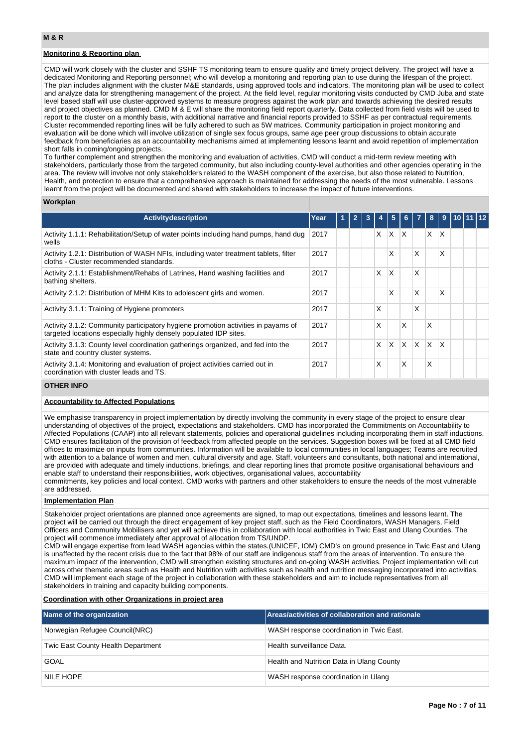# **Monitoring & Reporting plan**

CMD will work closely with the cluster and SSHF TS monitoring team to ensure quality and timely project delivery. The project will have a dedicated Monitoring and Reporting personnel; who will develop a monitoring and reporting plan to use during the lifespan of the project. The plan includes alignment with the cluster M&E standards, using approved tools and indicators. The monitoring plan will be used to collect and analyze data for strengthening management of the project. At the field level, regular monitoring visits conducted by CMD Juba and state level based staff will use cluster-approved systems to measure progress against the work plan and towards achieving the desired results and project objectives as planned. CMD M & E will share the monitoring field report quarterly. Data collected from field visits will be used to report to the cluster on a monthly basis, with additional narrative and financial reports provided to SSHF as per contractual requirements. Cluster recommended reporting lines will be fully adhered to such as 5W matrices. Community participation in project monitoring and evaluation will be done which will involve utilization of single sex focus groups, same age peer group discussions to obtain accurate feedback from beneficiaries as an accountability mechanisms aimed at implementing lessons learnt and avoid repetition of implementation short falls in coming/ongoing projects.

To further complement and strengthen the monitoring and evaluation of activities, CMD will conduct a mid-term review meeting with stakeholders, particularly those from the targeted community, but also including county-level authorities and other agencies operating in the area. The review will involve not only stakeholders related to the WASH component of the exercise, but also those related to Nutrition, Health, and protection to ensure that a comprehensive approach is maintained for addressing the needs of the most vulnerable. Lessons learnt from the project will be documented and shared with stakeholders to increase the impact of future interventions.

#### **Workplan**

| <b>Activity description</b>                                                                                                                            | Year | 1 |  |   | 5        | 6            |              | 8 | 9            |  |  |
|--------------------------------------------------------------------------------------------------------------------------------------------------------|------|---|--|---|----------|--------------|--------------|---|--------------|--|--|
| Activity 1.1.1: Rehabilitation/Setup of water points including hand pumps, hand dug<br>wells                                                           | 2017 |   |  | X | X        | $\mathsf{X}$ |              | X | X            |  |  |
| Activity 1.2.1: Distribution of WASH NFIs, including water treatment tablets, filter<br>cloths - Cluster recommended standards.                        | 2017 |   |  |   | X        |              | X            |   | X            |  |  |
| Activity 2.1.1: Establishment/Rehabs of Latrines, Hand washing facilities and<br>bathing shelters.                                                     | 2017 |   |  | X | X        |              | X            |   |              |  |  |
| Activity 2.1.2: Distribution of MHM Kits to adolescent girls and women.                                                                                | 2017 |   |  |   | Χ        |              | X            |   | X            |  |  |
| Activity 3.1.1: Training of Hygiene promoters                                                                                                          | 2017 |   |  | X |          |              | x            |   |              |  |  |
| Activity 3.1.2: Community participatory hygiene promotion activities in payams of<br>targeted locations especially highly densely populated IDP sites. | 2017 |   |  | X |          | X            |              | X |              |  |  |
| Activity 3.1.3: County level coordination gatherings organized, and fed into the<br>state and country cluster systems.                                 | 2017 |   |  | X | $\times$ | $\mathsf{X}$ | $\mathsf{X}$ | X | $\mathsf{x}$ |  |  |
| Activity 3.1.4: Monitoring and evaluation of project activities carried out in<br>coordination with cluster leads and TS.                              | 2017 |   |  | X |          | X            |              | x |              |  |  |

#### **OTHER INFO**

# **Accountability to Affected Populations**

We emphasise transparency in project implementation by directly involving the community in every stage of the project to ensure clear understanding of objectives of the project, expectations and stakeholders. CMD has incorporated the Commitments on Accountability to Affected Populations (CAAP) into all relevant statements, policies and operational guidelines including incorporating them in staff inductions. CMD ensures facilitation of the provision of feedback from affected people on the services. Suggestion boxes will be fixed at all CMD field offices to maximize on inputs from communities. Information will be available to local communities in local languages; Teams are recruited with attention to a balance of women and men, cultural diversity and age. Staff, volunteers and consultants, both national and international, are provided with adequate and timely inductions, briefings, and clear reporting lines that promote positive organisational behaviours and enable staff to understand their responsibilities, work objectives, organisational values, accountability

commitments, key policies and local context. CMD works with partners and other stakeholders to ensure the needs of the most vulnerable are addressed.

# **Implementation Plan**

Stakeholder project orientations are planned once agreements are signed, to map out expectations, timelines and lessons learnt. The project will be carried out through the direct engagement of key project staff, such as the Field Coordinators, WASH Managers, Field Officers and Community Mobilisers and yet will achieve this in collaboration with local authorities in Twic East and Ulang Counties. The project will commence immediately after approval of allocation from TS/UNDP.

CMD will engage expertise from lead WASH agencies within the states.(UNICEF, IOM) CMD's on ground presence in Twic East and Ulang is unaffected by the recent crisis due to the fact that 98% of our staff are indigenous staff from the areas of intervention. To ensure the maximum impact of the intervention, CMD will strengthen existing structures and on-going WASH activities. Project implementation will cut across other thematic areas such as Health and Nutrition with activities such as health and nutrition messaging incorporated into activities. CMD will implement each stage of the project in collaboration with these stakeholders and aim to include representatives from all stakeholders in training and capacity building components.

### **Coordination with other Organizations in project area**

| Name of the organization           | Areas/activities of collaboration and rationale |
|------------------------------------|-------------------------------------------------|
| Norwegian Refugee Council(NRC)     | WASH response coordination in Twic East.        |
| Twic East County Health Department | Health surveillance Data.                       |
| GOAL                               | Health and Nutrition Data in Ulang County       |
| NILE HOPE                          | WASH response coordination in Ulang             |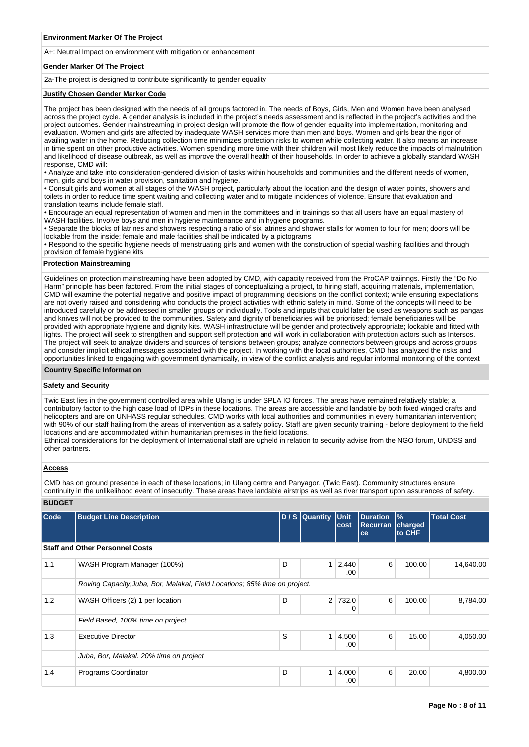A+: Neutral Impact on environment with mitigation or enhancement

### **Gender Marker Of The Project**

2a-The project is designed to contribute significantly to gender equality

#### **Justify Chosen Gender Marker Code**

The project has been designed with the needs of all groups factored in. The needs of Boys, Girls, Men and Women have been analysed across the project cycle. A gender analysis is included in the project's needs assessment and is reflected in the project's activities and the project outcomes. Gender mainstreaming in project design will promote the flow of gender equality into implementation, monitoring and evaluation. Women and girls are affected by inadequate WASH services more than men and boys. Women and girls bear the rigor of availing water in the home. Reducing collection time minimizes protection risks to women while collecting water. It also means an increase in time spent on other productive activities. Women spending more time with their children will most likely reduce the impacts of malnutrition and likelihood of disease outbreak, as well as improve the overall health of their households. In order to achieve a globally standard WASH response, CMD will:

• Analyze and take into consideration-gendered division of tasks within households and communities and the different needs of women, men, girls and boys in water provision, sanitation and hygiene.

• Consult girls and women at all stages of the WASH project, particularly about the location and the design of water points, showers and toilets in order to reduce time spent waiting and collecting water and to mitigate incidences of violence. Ensure that evaluation and translation teams include female staff.

• Encourage an equal representation of women and men in the committees and in trainings so that all users have an equal mastery of WASH facilities. Involve boys and men in hygiene maintenance and in hygiene programs.

• Separate the blocks of latrines and showers respecting a ratio of six latrines and shower stalls for women to four for men; doors will be lockable from the inside; female and male facilities shall be indicated by a pictograms

• Respond to the specific hygiene needs of menstruating girls and women with the construction of special washing facilities and through provision of female hygiene kits

# **Protection Mainstreaming**

Guidelines on protection mainstreaming have been adopted by CMD, with capacity received from the ProCAP traiinngs. Firstly the "Do No Harm" principle has been factored. From the initial stages of conceptualizing a project, to hiring staff, acquiring materials, implementation, CMD will examine the potential negative and positive impact of programming decisions on the conflict context; while ensuring expectations are not overly raised and considering who conducts the project activities with ethnic safety in mind. Some of the concepts will need to be introduced carefully or be addressed in smaller groups or individually. Tools and inputs that could later be used as weapons such as pangas and knives will not be provided to the communities. Safety and dignity of beneficiaries will be prioritised; female beneficiaries will be provided with appropriate hygiene and dignity kits. WASH infrastructure will be gender and protectively appropriate; lockable and fitted with lights. The project will seek to strengthen and support self protection and will work in collaboration with protection actors such as Intersos. The project will seek to analyze dividers and sources of tensions between groups; analyze connectors between groups and across groups and consider implicit ethical messages associated with the project. In working with the local authorities, CMD has analyzed the risks and opportunities linked to engaging with government dynamically, in view of the conflict analysis and regular informal monitoring of the context

#### **Country Specific Information**

# **Safety and Security**

Twic East lies in the government controlled area while Ulang is under SPLA IO forces. The areas have remained relatively stable; a contributory factor to the high case load of IDPs in these locations. The areas are accessible and landable by both fixed winged crafts and helicopters and are on UNHASS regular schedules. CMD works with local authorities and communities in every humanitarian intervention; with 90% of our staff hailing from the areas of intervention as a safety policy. Staff are given security training - before deployment to the field locations and are accommodated within humanitarian premises in the field locations.

Ethnical considerations for the deployment of International staff are upheld in relation to security advise from the NGO forum, UNDSS and other partners.

#### **Access**

CMD has on ground presence in each of these locations; in Ulang centre and Panyagor. (Twic East). Community structures ensure continuity in the unlikelihood event of insecurity. These areas have landable airstrips as well as river transport upon assurances of safety.

#### **BUDGET**

| Code | <b>Budget Line Description</b>                                             |   | D / S Quantity Unit | cost                  | <b>Duration</b><br><b>Recurran</b><br>ce | $\frac{9}{6}$<br>charged<br>to CHF | <b>Total Cost</b> |
|------|----------------------------------------------------------------------------|---|---------------------|-----------------------|------------------------------------------|------------------------------------|-------------------|
|      | <b>Staff and Other Personnel Costs</b>                                     |   |                     |                       |                                          |                                    |                   |
| 1.1  | WASH Program Manager (100%)                                                | D |                     | $1 \mid 2,440$<br>.00 | 6                                        | 100.00                             | 14,640.00         |
|      | Roving Capacity, Juba, Bor, Malakal, Field Locations; 85% time on project. |   |                     |                       |                                          |                                    |                   |
| 1.2  | WASH Officers (2) 1 per location                                           | D | 2 <sup>1</sup>      | 732.0<br>0            | 6                                        | 100.00                             | 8,784.00          |
|      | Field Based, 100% time on project                                          |   |                     |                       |                                          |                                    |                   |
| 1.3  | Executive Director                                                         | S | 1 <sup>1</sup>      | 4,500<br>.00          | 6                                        | 15.00                              | 4,050.00          |
|      | Juba, Bor, Malakal. 20% time on project                                    |   |                     |                       |                                          |                                    |                   |
| 1.4  | Programs Coordinator                                                       | D | $\mathbf{1}$        | 4,000<br>.00          | 6                                        | 20.00                              | 4,800.00          |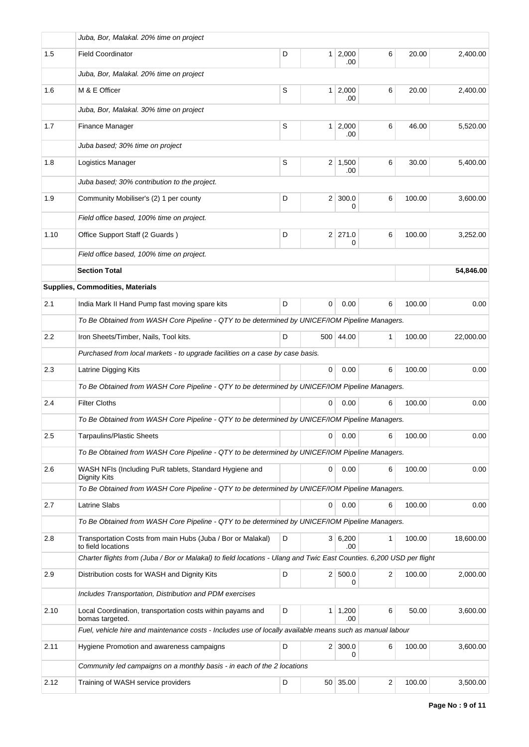|         | Juba, Bor, Malakal. 20% time on project                                                                              |   |                |                       |   |        |           |
|---------|----------------------------------------------------------------------------------------------------------------------|---|----------------|-----------------------|---|--------|-----------|
| 1.5     | <b>Field Coordinator</b>                                                                                             | D |                | 1 2,000<br>.00        | 6 | 20.00  | 2,400.00  |
|         | Juba, Bor, Malakal. 20% time on project                                                                              |   |                |                       |   |        |           |
| 1.6     | M & E Officer                                                                                                        | S |                | $1 \mid 2,000$<br>.00 | 6 | 20.00  | 2,400.00  |
|         | Juba, Bor, Malakal. 30% time on project                                                                              |   |                |                       |   |        |           |
| 1.7     | Finance Manager                                                                                                      | S |                | $1 \mid 2,000$<br>.00 | 6 | 46.00  | 5,520.00  |
|         | Juba based; 30% time on project                                                                                      |   |                |                       |   |        |           |
| 1.8     | Logistics Manager                                                                                                    | S |                | $2 \mid 1,500$<br>.00 | 6 | 30.00  | 5,400.00  |
|         | Juba based; 30% contribution to the project.                                                                         |   |                |                       |   |        |           |
| 1.9     | Community Mobiliser's (2) 1 per county                                                                               | D |                | $2 \mid 300.0$<br>0   | 6 | 100.00 | 3,600.00  |
|         | Field office based, 100% time on project.                                                                            |   |                |                       |   |        |           |
| 1.10    | Office Support Staff (2 Guards)                                                                                      | D |                | $2 \mid 271.0$<br>0   | 6 | 100.00 | 3,252.00  |
|         | Field office based, 100% time on project.                                                                            |   |                |                       |   |        |           |
|         | <b>Section Total</b>                                                                                                 |   |                |                       |   |        | 54,846.00 |
|         | Supplies, Commodities, Materials                                                                                     |   |                |                       |   |        |           |
| 2.1     | India Mark II Hand Pump fast moving spare kits                                                                       | D | 0              | 0.00                  | 6 | 100.00 | 0.00      |
|         | To Be Obtained from WASH Core Pipeline - QTY to be determined by UNICEF/IOM Pipeline Managers.                       |   |                |                       |   |        |           |
| $2.2\,$ | Iron Sheets/Timber, Nails, Tool kits.                                                                                | D |                | 500 44.00             | 1 | 100.00 | 22,000.00 |
|         | Purchased from local markets - to upgrade facilities on a case by case basis.                                        |   |                |                       |   |        |           |
| 2.3     | Latrine Digging Kits                                                                                                 |   | 0              | 0.00                  | 6 | 100.00 | 0.00      |
|         | To Be Obtained from WASH Core Pipeline - QTY to be determined by UNICEF/IOM Pipeline Managers.                       |   |                |                       |   |        |           |
| 2.4     | <b>Filter Cloths</b>                                                                                                 |   | 0              | 0.00                  | 6 | 100.00 | 0.00      |
|         | To Be Obtained from WASH Core Pipeline - QTY to be determined by UNICEF/IOM Pipeline Managers.                       |   |                |                       |   |        |           |
| 2.5     | <b>Tarpaulins/Plastic Sheets</b>                                                                                     |   | 0              | 0.00                  | 6 | 100.00 | 0.00      |
|         | To Be Obtained from WASH Core Pipeline - QTY to be determined by UNICEF/IOM Pipeline Managers.                       |   |                |                       |   |        |           |
| 2.6     | WASH NFIs (Including PuR tablets, Standard Hygiene and<br>Dignity Kits                                               |   | 0              | 0.00                  | 6 | 100.00 | 0.00      |
|         | To Be Obtained from WASH Core Pipeline - QTY to be determined by UNICEF/IOM Pipeline Managers.                       |   |                |                       |   |        |           |
| 2.7     | <b>Latrine Slabs</b>                                                                                                 |   | 0              | 0.00                  | 6 | 100.00 | 0.00      |
|         | To Be Obtained from WASH Core Pipeline - QTY to be determined by UNICEF/IOM Pipeline Managers.                       |   |                |                       |   |        |           |
| 2.8     | Transportation Costs from main Hubs (Juba / Bor or Malakal)<br>to field locations                                    | D |                | 3 6,200<br>.00        | 1 | 100.00 | 18,600.00 |
|         | Charter flights from (Juba / Bor or Malakal) to field locations - Ulang and Twic East Counties. 6,200 USD per flight |   |                |                       |   |        |           |
| 2.9     | Distribution costs for WASH and Dignity Kits                                                                         | D |                | 2 500.0<br>0          | 2 | 100.00 | 2,000.00  |
|         | Includes Transportation, Distribution and PDM exercises                                                              |   |                |                       |   |        |           |
| 2.10    | Local Coordination, transportation costs within payams and<br>bomas targeted.                                        | D | 1 <sup>1</sup> | 1,200<br>.00          | 6 | 50.00  | 3,600.00  |
|         | Fuel, vehicle hire and maintenance costs - Includes use of locally available means such as manual labour             |   |                |                       |   |        |           |
| 2.11    | Hygiene Promotion and awareness campaigns                                                                            | D |                | $2 \mid 300.0$<br>0   | 6 | 100.00 | 3,600.00  |
|         | Community led campaigns on a monthly basis - in each of the 2 locations                                              |   |                |                       |   |        |           |
| 2.12    | Training of WASH service providers                                                                                   | D |                | 50 35.00              | 2 | 100.00 | 3,500.00  |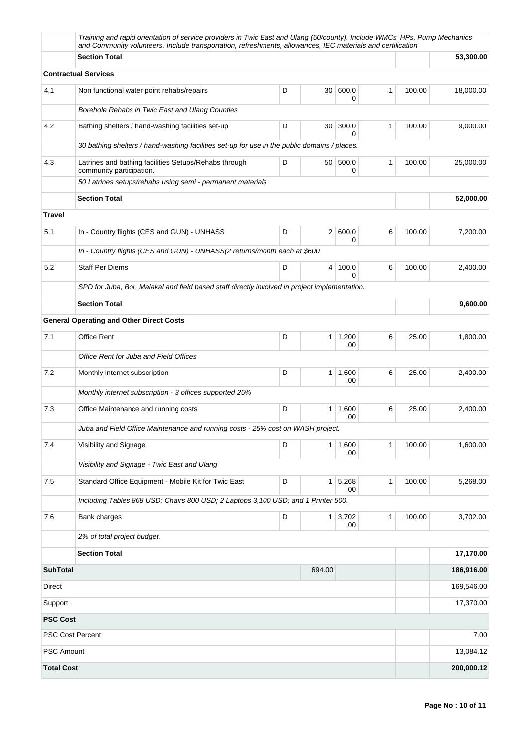|                   | Training and rapid orientation of service providers in Twic East and Ulang (50/county). Include WMCs, HPs, Pump Mechanics<br>and Community volunteers. Include transportation, refreshments, allowances, IEC materials and certification |   |                |                       |              |        |            |
|-------------------|------------------------------------------------------------------------------------------------------------------------------------------------------------------------------------------------------------------------------------------|---|----------------|-----------------------|--------------|--------|------------|
|                   | <b>Section Total</b>                                                                                                                                                                                                                     |   |                |                       |              |        | 53,300.00  |
|                   | <b>Contractual Services</b>                                                                                                                                                                                                              |   |                |                       |              |        |            |
| 4.1               | Non functional water point rehabs/repairs                                                                                                                                                                                                | D |                | 30 600.0<br>0         | 1            | 100.00 | 18,000.00  |
|                   | Borehole Rehabs in Twic East and Ulang Counties                                                                                                                                                                                          |   |                |                       |              |        |            |
| 4.2               | Bathing shelters / hand-washing facilities set-up                                                                                                                                                                                        | D | 30             | 300.0<br>0            | $\mathbf{1}$ | 100.00 | 9,000.00   |
|                   | 30 bathing shelters / hand-washing facilities set-up for use in the public domains / places.                                                                                                                                             |   |                |                       |              |        |            |
| 4.3               | Latrines and bathing facilities Setups/Rehabs through<br>community participation.                                                                                                                                                        | D |                | 50 500.0<br>0         | 1            | 100.00 | 25,000.00  |
|                   | 50 Latrines setups/rehabs using semi - permanent materials                                                                                                                                                                               |   |                |                       |              |        |            |
|                   | <b>Section Total</b>                                                                                                                                                                                                                     |   |                |                       |              |        | 52,000.00  |
| <b>Travel</b>     |                                                                                                                                                                                                                                          |   |                |                       |              |        |            |
| 5.1               | In - Country flights (CES and GUN) - UNHASS                                                                                                                                                                                              | D |                | 2   600.0<br>0        | 6            | 100.00 | 7,200.00   |
|                   | In - Country flights (CES and GUN) - UNHASS(2 returns/month each at \$600                                                                                                                                                                |   |                |                       |              |        |            |
| 5.2               | <b>Staff Per Diems</b>                                                                                                                                                                                                                   | D | 4              | 100.0<br>$\Omega$     | 6            | 100.00 | 2,400.00   |
|                   | SPD for Juba, Bor, Malakal and field based staff directly involved in project implementation.                                                                                                                                            |   |                |                       |              |        |            |
|                   | <b>Section Total</b>                                                                                                                                                                                                                     |   |                |                       |              |        | 9,600.00   |
|                   | <b>General Operating and Other Direct Costs</b>                                                                                                                                                                                          |   |                |                       |              |        |            |
| 7.1               | <b>Office Rent</b>                                                                                                                                                                                                                       | D | 1 <sup>1</sup> | 1,200<br>.00          | 6            | 25.00  | 1,800.00   |
|                   | Office Rent for Juba and Field Offices                                                                                                                                                                                                   |   |                |                       |              |        |            |
| 7.2               | Monthly internet subscription                                                                                                                                                                                                            | D |                | 1   1,600<br>.00      | 6            | 25.00  | 2,400.00   |
|                   | Monthly internet subscription - 3 offices supported 25%                                                                                                                                                                                  |   |                |                       |              |        |            |
| 7.3               | Office Maintenance and running costs                                                                                                                                                                                                     | D |                | $1 \mid 1,600$<br>.00 | 6            | 25.00  | 2,400.00   |
|                   | Juba and Field Office Maintenance and running costs - 25% cost on WASH project.                                                                                                                                                          |   |                |                       |              |        |            |
| 7.4               | Visibility and Signage                                                                                                                                                                                                                   | D |                | 1   1,600<br>.00      | 1            | 100.00 | 1,600.00   |
|                   | Visibility and Signage - Twic East and Ulang                                                                                                                                                                                             |   |                |                       |              |        |            |
| 7.5               | Standard Office Equipment - Mobile Kit for Twic East                                                                                                                                                                                     | D |                | $1 \mid 5,268$<br>.00 | 1            | 100.00 | 5,268.00   |
|                   | Including Tables 868 USD; Chairs 800 USD; 2 Laptops 3,100 USD; and 1 Printer 500.                                                                                                                                                        |   |                |                       |              |        |            |
| 7.6               | Bank charges                                                                                                                                                                                                                             | D |                | $1 \mid 3,702$<br>.00 | 1            | 100.00 | 3,702.00   |
|                   | 2% of total project budget.                                                                                                                                                                                                              |   |                |                       |              |        |            |
|                   | <b>Section Total</b>                                                                                                                                                                                                                     |   |                |                       |              |        | 17,170.00  |
| <b>SubTotal</b>   |                                                                                                                                                                                                                                          |   | 694.00         |                       |              |        | 186,916.00 |
| <b>Direct</b>     |                                                                                                                                                                                                                                          |   |                |                       |              |        | 169,546.00 |
| Support           |                                                                                                                                                                                                                                          |   |                |                       |              |        | 17,370.00  |
| <b>PSC Cost</b>   |                                                                                                                                                                                                                                          |   |                |                       |              |        |            |
|                   | <b>PSC Cost Percent</b>                                                                                                                                                                                                                  |   |                |                       |              |        | 7.00       |
| <b>PSC Amount</b> |                                                                                                                                                                                                                                          |   |                |                       |              |        | 13,084.12  |
| <b>Total Cost</b> |                                                                                                                                                                                                                                          |   |                |                       |              |        | 200,000.12 |